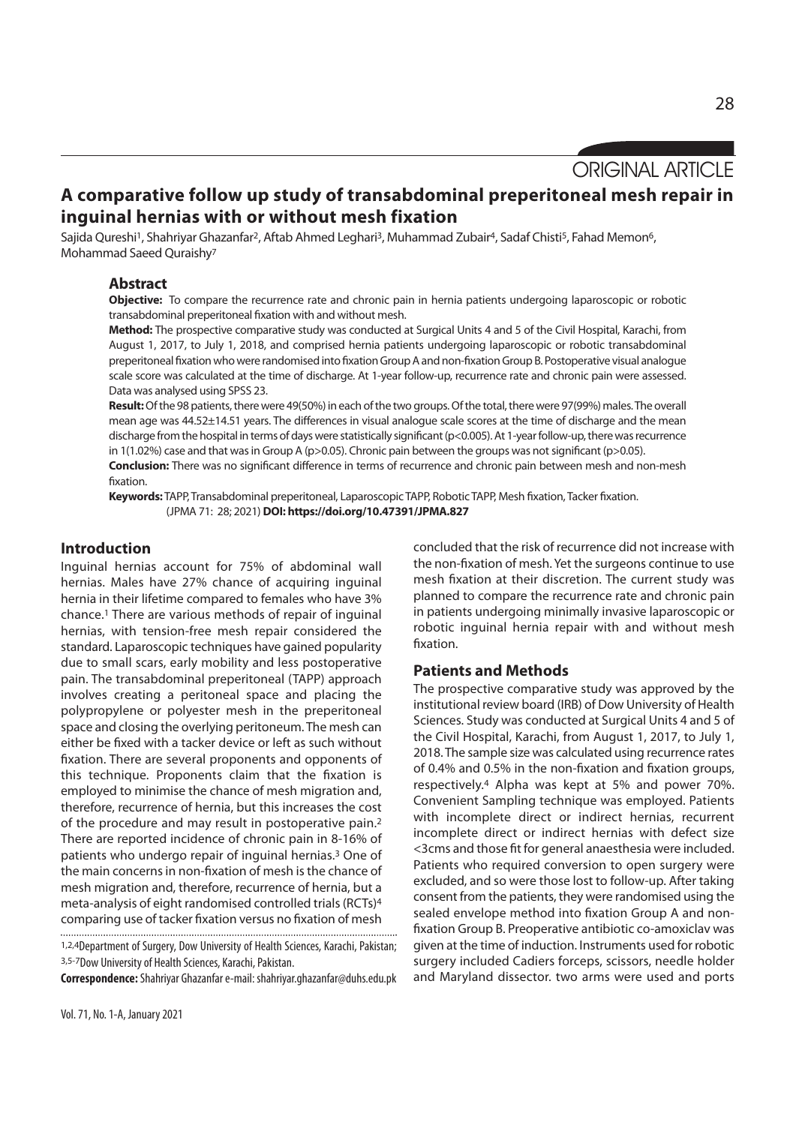# **A comparative follow up study of transabdominal preperitoneal mesh repair in inguinal hernias with or without mesh fixation**

Sajida Qureshi<sup>1</sup>, Shahriyar Ghazanfar<sup>2</sup>, Aftab Ahmed Leghari<sup>3</sup>, Muhammad Zubair<sup>4</sup>, Sadaf Chisti<sup>5</sup>, Fahad Memon<sup>6</sup>, Mohammad Saeed Quraishy7

## **Abstract**

**Objective:** To compare the recurrence rate and chronic pain in hernia patients undergoing laparoscopic or robotic transabdominal preperitoneal fixation with and without mesh.

**Method:** The prospective comparative study was conducted at Surgical Units 4 and 5 of the Civil Hospital, Karachi, from August 1, 2017, to July 1, 2018, and comprised hernia patients undergoing laparoscopic or robotic transabdominal preperitoneal fixation who were randomised into fixation Group A and non-fixation Group B. Postoperative visual analogue scale score was calculated at the time of discharge. At 1-year follow-up, recurrence rate and chronic pain were assessed. Data was analysed using SPSS 23.

**Result:** Of the 98 patients, there were 49(50%) in each of the two groups. Of the total, there were 97(99%) males. The overall mean age was 44.52±14.51 years. The differences in visual analogue scale scores at the time of discharge and the mean discharge from the hospital in terms of days were statistically significant (p<0.005). At 1-year follow-up, there was recurrence in 1(1.02%) case and that was in Group A (p>0.05). Chronic pain between the groups was not significant (p>0.05). **Conclusion:** There was no significant difference in terms of recurrence and chronic pain between mesh and non-mesh

fixation.

**Keywords:** TAPP, Transabdominal preperitoneal, Laparoscopic TAPP, Robotic TAPP, Mesh fixation, Tacker fixation. (JPMA 71: 28; 2021) **DOI: https://doi.org/10.47391/JPMA.827**

# **Introduction**

Inguinal hernias account for 75% of abdominal wall hernias. Males have 27% chance of acquiring inguinal hernia in their lifetime compared to females who have 3% chance.1 There are various methods of repair of inguinal hernias, with tension-free mesh repair considered the standard. Laparoscopic techniques have gained popularity due to small scars, early mobility and less postoperative pain. The transabdominal preperitoneal (TAPP) approach involves creating a peritoneal space and placing the polypropylene or polyester mesh in the preperitoneal space and closing the overlying peritoneum. The mesh can either be fixed with a tacker device or left as such without fixation. There are several proponents and opponents of this technique. Proponents claim that the fixation is employed to minimise the chance of mesh migration and, therefore, recurrence of hernia, but this increases the cost of the procedure and may result in postoperative pain.2 There are reported incidence of chronic pain in 8-16% of patients who undergo repair of inguinal hernias.3 One of the main concerns in non-fixation of mesh is the chance of mesh migration and, therefore, recurrence of hernia, but a meta-analysis of eight randomised controlled trials (RCTs)4 comparing use of tacker fixation versus no fixation of mesh 

1,2,4Department of Surgery, Dow University of Health Sciences, Karachi, Pakistan; 3,5-7Dow University of Health Sciences, Karachi, Pakistan.

**Correspondence:** Shahriyar Ghazanfar e-mail: shahriyar.ghazanfar@duhs.edu.pk

concluded that the risk of recurrence did not increase with the non-fixation of mesh. Yet the surgeons continue to use mesh fixation at their discretion. The current study was planned to compare the recurrence rate and chronic pain in patients undergoing minimally invasive laparoscopic or robotic inguinal hernia repair with and without mesh fixation.

#### **Patients and Methods**

The prospective comparative study was approved by the institutional review board (IRB) of Dow University of Health Sciences. Study was conducted at Surgical Units 4 and 5 of the Civil Hospital, Karachi, from August 1, 2017, to July 1, 2018. The sample size was calculated using recurrence rates of 0.4% and 0.5% in the non-fixation and fixation groups, respectively.4 Alpha was kept at 5% and power 70%. Convenient Sampling technique was employed. Patients with incomplete direct or indirect hernias, recurrent incomplete direct or indirect hernias with defect size <3cms and those fit for general anaesthesia were included. Patients who required conversion to open surgery were excluded, and so were those lost to follow-up. After taking consent from the patients, they were randomised using the sealed envelope method into fixation Group A and nonfixation Group B. Preoperative antibiotic co-amoxiclav was given at the time of induction. Instruments used for robotic surgery included Cadiers forceps, scissors, needle holder and Maryland dissector. two arms were used and ports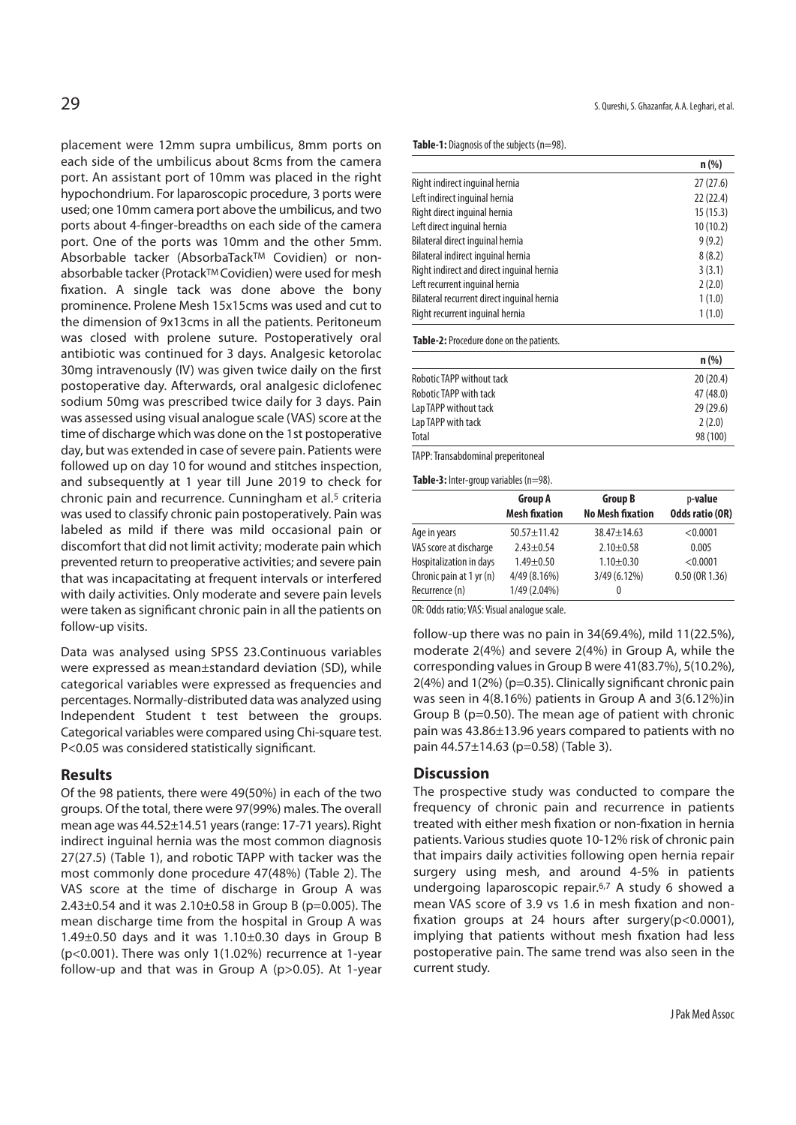placement were 12mm supra umbilicus, 8mm ports on each side of the umbilicus about 8cms from the camera port. An assistant port of 10mm was placed in the right hypochondrium. For laparoscopic procedure, 3 ports were used; one 10mm camera port above the umbilicus, and two ports about 4-finger-breadths on each side of the camera port. One of the ports was 10mm and the other 5mm. Absorbable tacker (AbsorbaTackTM Covidien) or nonabsorbable tacker (Protack™ Covidien) were used for mesh fixation. A single tack was done above the bony prominence. Prolene Mesh 15x15cms was used and cut to the dimension of 9x13cms in all the patients. Peritoneum was closed with prolene suture. Postoperatively oral antibiotic was continued for 3 days. Analgesic ketorolac 30mg intravenously (IV) was given twice daily on the first postoperative day. Afterwards, oral analgesic diclofenec sodium 50mg was prescribed twice daily for 3 days. Pain was assessed using visual analogue scale (VAS) score at the time of discharge which was done on the 1st postoperative day, but was extended in case of severe pain. Patients were followed up on day 10 for wound and stitches inspection, and subsequently at 1 year till June 2019 to check for chronic pain and recurrence. Cunningham et al.5 criteria was used to classify chronic pain postoperatively. Pain was labeled as mild if there was mild occasional pain or discomfort that did not limit activity; moderate pain which prevented return to preoperative activities; and severe pain that was incapacitating at frequent intervals or interfered with daily activities. Only moderate and severe pain levels were taken as significant chronic pain in all the patients on follow-up visits.

Data was analysed using SPSS 23.Continuous variables were expressed as mean±standard deviation (SD), while categorical variables were expressed as frequencies and percentages. Normally-distributed data was analyzed using Independent Student t test between the groups. Categorical variables were compared using Chi-square test. P<0.05 was considered statistically significant.

#### **Results**

Of the 98 patients, there were 49(50%) in each of the two groups. Of the total, there were 97(99%) males. The overall mean age was 44.52±14.51 years (range: 17-71 years). Right indirect inguinal hernia was the most common diagnosis 27(27.5) (Table 1), and robotic TAPP with tacker was the most commonly done procedure 47(48%) (Table 2). The VAS score at the time of discharge in Group A was 2.43 $\pm$ 0.54 and it was 2.10 $\pm$ 0.58 in Group B (p=0.005). The mean discharge time from the hospital in Group A was  $1.49\pm0.50$  days and it was  $1.10\pm0.30$  days in Group B (p<0.001). There was only 1(1.02%) recurrence at 1-year follow-up and that was in Group A (p>0.05). At 1-year S. Qureshi, S. Ghazanfar, A.A. Leghari, et al.

**Table-1:** Diagnosis of the subjects (n=98).

|                                            | $n$ (%)  |
|--------------------------------------------|----------|
| Right indirect inquinal hernia             | 27(27.6) |
| Left indirect inquinal hernia              | 22(22.4) |
| Right direct inquinal hernia               | 15(15.3) |
| Left direct inquinal hernia                | 10(10.2) |
| Bilateral direct inguinal hernia           | 9(9.2)   |
| Bilateral indirect inquinal hernia         | 8(8.2)   |
| Right indirect and direct inguinal hernia  | 3(3.1)   |
| Left recurrent inquinal hernia             | 2(2.0)   |
| Bilateral recurrent direct inquinal hernia | 1(1.0)   |
| Right recurrent inguinal hernia            | 1(1.0)   |

**Table-2:** Procedure done on the patients.

|                                  | n(% )     |
|----------------------------------|-----------|
| <b>Robotic TAPP without tack</b> | 20(20.4)  |
| Robotic TAPP with tack           | 47 (48.0) |
| Lap TAPP without tack            | 29(29.6)  |
| Lap TAPP with tack               | 2(2.0)    |
| Total                            | 98 (100)  |

TAPP: Transabdominal preperitoneal

**Table-3:** Inter-group variables (n=98).

|                          | Group A<br><b>Mesh fixation</b> | <b>Group B</b><br><b>No Mesh fixation</b> | p-value<br><b>Odds ratio (OR)</b> |
|--------------------------|---------------------------------|-------------------------------------------|-----------------------------------|
| Age in years             | $50.57 + 11.42$                 | $38.47 + 14.63$                           | < 0.0001                          |
| VAS score at discharge   | $2.43 + 0.54$                   | $2.10 \pm 0.58$                           | 0.005                             |
| Hospitalization in days  | $1.49 + 0.50$                   | $1.10 \pm 0.30$                           | < 0.0001                          |
| Chronic pain at 1 yr (n) | 4/49 (8.16%)                    | 3/49 (6.12%)                              | 0.50(0R1.36)                      |
| Recurrence (n)           | 1/49 (2.04%)                    | 0                                         |                                   |

OR: Odds ratio; VAS: Visual analogue scale.

follow-up there was no pain in 34(69.4%), mild 11(22.5%), moderate 2(4%) and severe 2(4%) in Group A, while the corresponding values in Group B were 41(83.7%), 5(10.2%), 2(4%) and 1(2%) (p=0.35). Clinically significant chronic pain was seen in 4(8.16%) patients in Group A and 3(6.12%)in Group B (p=0.50). The mean age of patient with chronic pain was 43.86±13.96 years compared to patients with no pain 44.57±14.63 (p=0.58) (Table 3).

### **Discussion**

The prospective study was conducted to compare the frequency of chronic pain and recurrence in patients treated with either mesh fixation or non-fixation in hernia patients. Various studies quote 10-12% risk of chronic pain that impairs daily activities following open hernia repair surgery using mesh, and around 4-5% in patients undergoing laparoscopic repair.6,7 A study 6 showed a mean VAS score of 3.9 vs 1.6 in mesh fixation and nonfixation groups at 24 hours after surgery(p<0.0001), implying that patients without mesh fixation had less postoperative pain. The same trend was also seen in the current study.